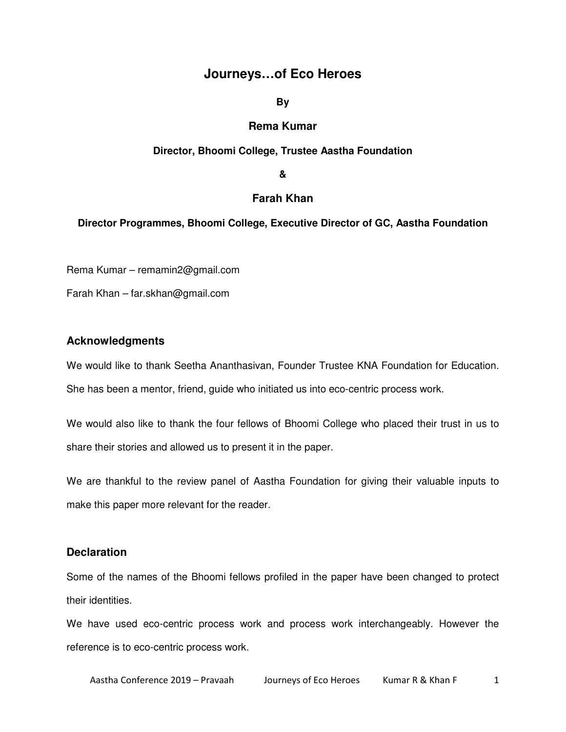## **Journeys…of Eco Heroes**

**By** 

## **Rema Kumar**

### **Director, Bhoomi College, Trustee Aastha Foundation**

**&** 

## **Farah Khan**

### **Director Programmes, Bhoomi College, Executive Director of GC, Aastha Foundation**

Rema Kumar – remamin2@gmail.com

Farah Khan – far.skhan@gmail.com

## **Acknowledgments**

We would like to thank Seetha Ananthasivan, Founder Trustee KNA Foundation for Education. She has been a mentor, friend, guide who initiated us into eco-centric process work.

We would also like to thank the four fellows of Bhoomi College who placed their trust in us to share their stories and allowed us to present it in the paper.

We are thankful to the review panel of Aastha Foundation for giving their valuable inputs to make this paper more relevant for the reader.

## **Declaration**

Some of the names of the Bhoomi fellows profiled in the paper have been changed to protect their identities.

We have used eco-centric process work and process work interchangeably. However the reference is to eco-centric process work.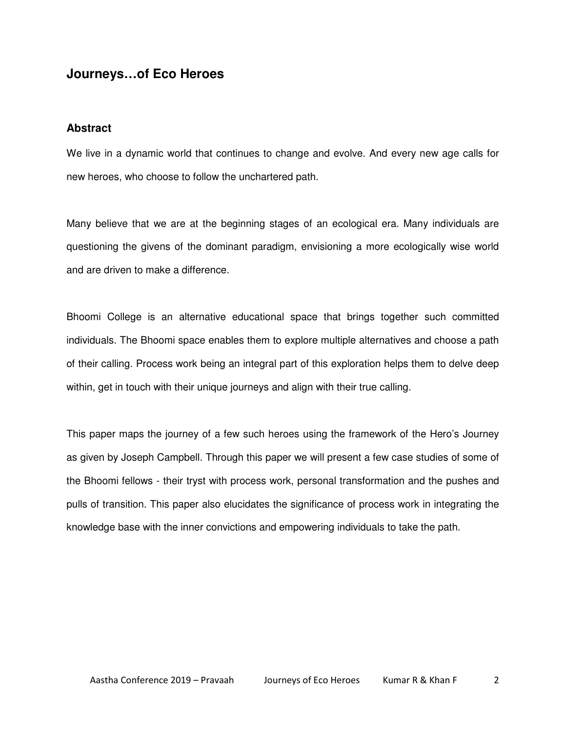# **Journeys…of Eco Heroes**

### **Abstract**

We live in a dynamic world that continues to change and evolve. And every new age calls for new heroes, who choose to follow the unchartered path.

Many believe that we are at the beginning stages of an ecological era. Many individuals are questioning the givens of the dominant paradigm, envisioning a more ecologically wise world and are driven to make a difference.

Bhoomi College is an alternative educational space that brings together such committed individuals. The Bhoomi space enables them to explore multiple alternatives and choose a path of their calling. Process work being an integral part of this exploration helps them to delve deep within, get in touch with their unique journeys and align with their true calling.

This paper maps the journey of a few such heroes using the framework of the Hero's Journey as given by Joseph Campbell. Through this paper we will present a few case studies of some of the Bhoomi fellows - their tryst with process work, personal transformation and the pushes and pulls of transition. This paper also elucidates the significance of process work in integrating the knowledge base with the inner convictions and empowering individuals to take the path.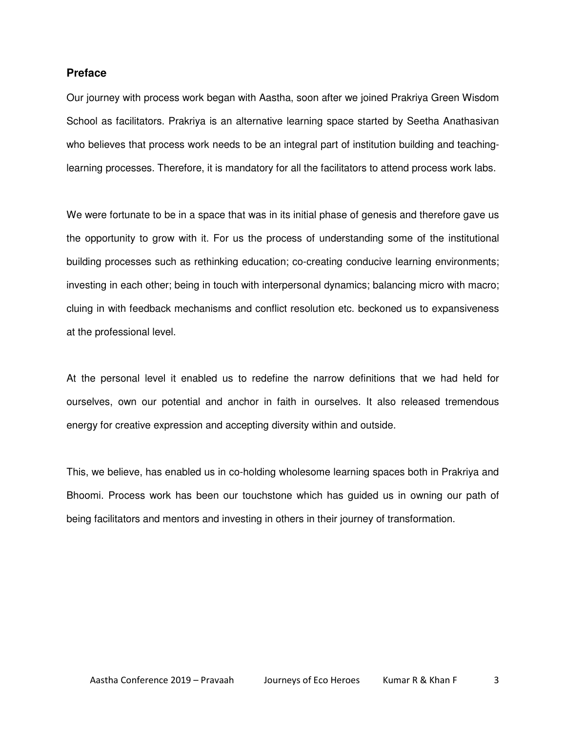### **Preface**

Our journey with process work began with Aastha, soon after we joined Prakriya Green Wisdom School as facilitators. Prakriya is an alternative learning space started by Seetha Anathasivan who believes that process work needs to be an integral part of institution building and teachinglearning processes. Therefore, it is mandatory for all the facilitators to attend process work labs.

We were fortunate to be in a space that was in its initial phase of genesis and therefore gave us the opportunity to grow with it. For us the process of understanding some of the institutional building processes such as rethinking education; co-creating conducive learning environments; investing in each other; being in touch with interpersonal dynamics; balancing micro with macro; cluing in with feedback mechanisms and conflict resolution etc. beckoned us to expansiveness at the professional level.

At the personal level it enabled us to redefine the narrow definitions that we had held for ourselves, own our potential and anchor in faith in ourselves. It also released tremendous energy for creative expression and accepting diversity within and outside.

This, we believe, has enabled us in co-holding wholesome learning spaces both in Prakriya and Bhoomi. Process work has been our touchstone which has guided us in owning our path of being facilitators and mentors and investing in others in their journey of transformation.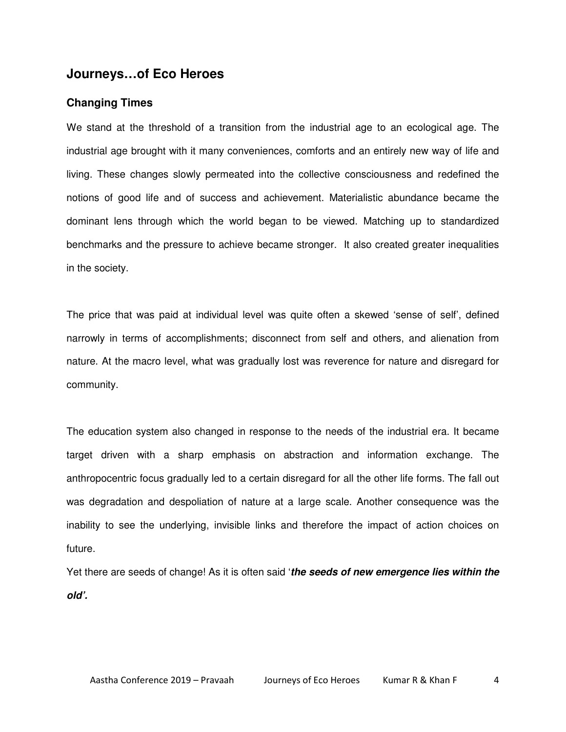# **Journeys…of Eco Heroes**

### **Changing Times**

We stand at the threshold of a transition from the industrial age to an ecological age. The industrial age brought with it many conveniences, comforts and an entirely new way of life and living. These changes slowly permeated into the collective consciousness and redefined the notions of good life and of success and achievement. Materialistic abundance became the dominant lens through which the world began to be viewed. Matching up to standardized benchmarks and the pressure to achieve became stronger. It also created greater inequalities in the society.

The price that was paid at individual level was quite often a skewed 'sense of self', defined narrowly in terms of accomplishments; disconnect from self and others, and alienation from nature. At the macro level, what was gradually lost was reverence for nature and disregard for community.

The education system also changed in response to the needs of the industrial era. It became target driven with a sharp emphasis on abstraction and information exchange. The anthropocentric focus gradually led to a certain disregard for all the other life forms. The fall out was degradation and despoliation of nature at a large scale. Another consequence was the inability to see the underlying, invisible links and therefore the impact of action choices on future.

Yet there are seeds of change! As it is often said '**the seeds of new emergence lies within the old'.**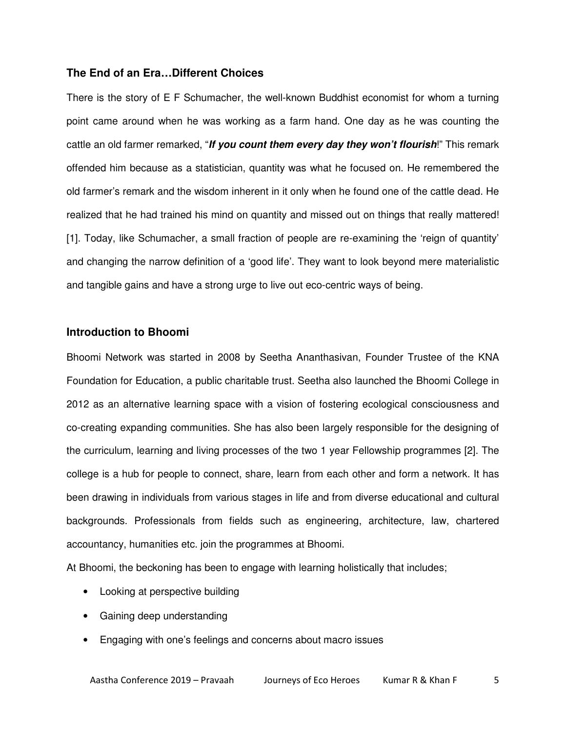## **The End of an Era…Different Choices**

There is the story of E F Schumacher, the well-known Buddhist economist for whom a turning point came around when he was working as a farm hand. One day as he was counting the cattle an old farmer remarked, "**If you count them every day they won't flourish**!" This remark offended him because as a statistician, quantity was what he focused on. He remembered the old farmer's remark and the wisdom inherent in it only when he found one of the cattle dead. He realized that he had trained his mind on quantity and missed out on things that really mattered! [1]. Today, like Schumacher, a small fraction of people are re-examining the 'reign of quantity' and changing the narrow definition of a 'good life'. They want to look beyond mere materialistic and tangible gains and have a strong urge to live out eco-centric ways of being.

### **Introduction to Bhoomi**

Bhoomi Network was started in 2008 by Seetha Ananthasivan, Founder Trustee of the KNA Foundation for Education, a public charitable trust. Seetha also launched the Bhoomi College in 2012 as an alternative learning space with a vision of fostering ecological consciousness and co-creating expanding communities. She has also been largely responsible for the designing of the curriculum, learning and living processes of the two 1 year Fellowship programmes [2]. The college is a hub for people to connect, share, learn from each other and form a network. It has been drawing in individuals from various stages in life and from diverse educational and cultural backgrounds. Professionals from fields such as engineering, architecture, law, chartered accountancy, humanities etc. join the programmes at Bhoomi.

At Bhoomi, the beckoning has been to engage with learning holistically that includes;

- Looking at perspective building
- Gaining deep understanding
- Engaging with one's feelings and concerns about macro issues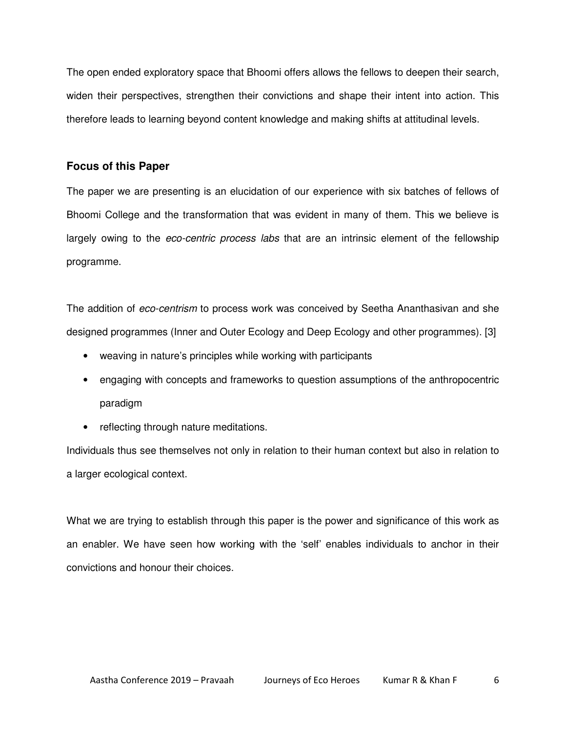The open ended exploratory space that Bhoomi offers allows the fellows to deepen their search, widen their perspectives, strengthen their convictions and shape their intent into action. This therefore leads to learning beyond content knowledge and making shifts at attitudinal levels.

## **Focus of this Paper**

The paper we are presenting is an elucidation of our experience with six batches of fellows of Bhoomi College and the transformation that was evident in many of them. This we believe is largely owing to the eco-centric process labs that are an intrinsic element of the fellowship programme.

The addition of *eco-centrism* to process work was conceived by Seetha Ananthasivan and she designed programmes (Inner and Outer Ecology and Deep Ecology and other programmes). [3]

- weaving in nature's principles while working with participants
- engaging with concepts and frameworks to question assumptions of the anthropocentric paradigm
- reflecting through nature meditations.

Individuals thus see themselves not only in relation to their human context but also in relation to a larger ecological context.

What we are trying to establish through this paper is the power and significance of this work as an enabler. We have seen how working with the 'self' enables individuals to anchor in their convictions and honour their choices.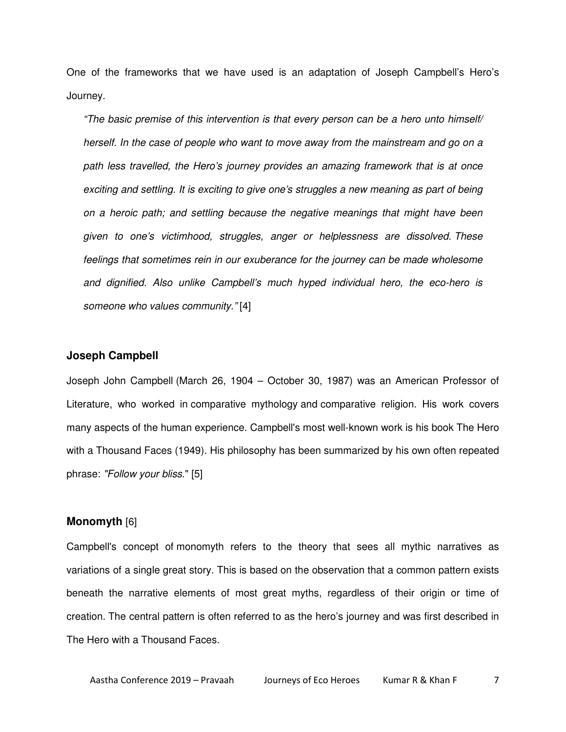One of the frameworks that we have used is an adaptation of Joseph Campbell's Hero's Journey.

"The basic premise of this intervention is that every person can be a hero unto himself/ herself. In the case of people who want to move away from the mainstream and go on a path less travelled, the Hero's journey provides an amazing framework that is at once exciting and settling. It is exciting to give one's struggles a new meaning as part of being on a heroic path; and settling because the negative meanings that might have been given to one's victimhood, struggles, anger or helplessness are dissolved. These feelings that sometimes rein in our exuberance for the journey can be made wholesome and dignified. Also unlike Campbell's much hyped individual hero, the eco-hero is someone who values community." [4]

### **Joseph Campbell**

Joseph John Campbell (March 26, 1904 – October 30, 1987) was an American Professor of Literature, who worked in comparative mythology and comparative religion. His work covers many aspects of the human experience. Campbell's most well-known work is his book The Hero with a Thousand Faces (1949). His philosophy has been summarized by his own often repeated phrase: "Follow your bliss." [5]

#### **Monomyth** [6]

Campbell's concept of monomyth refers to the theory that sees all mythic narratives as variations of a single great story. This is based on the observation that a common pattern exists beneath the narrative elements of most great myths, regardless of their origin or time of creation. The central pattern is often referred to as the hero's journey and was first described in The Hero with a Thousand Faces.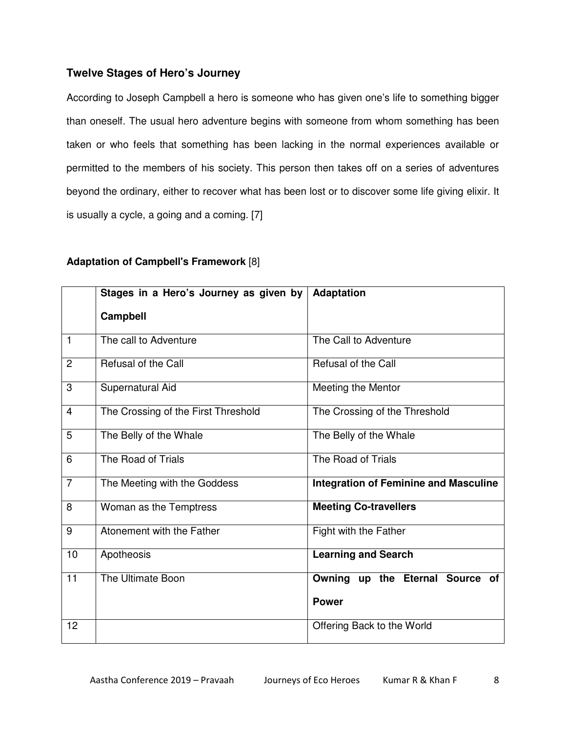## **Twelve Stages of Hero's Journey**

According to Joseph Campbell a hero is someone who has given one's life to something bigger than oneself. The usual hero adventure begins with someone from whom something has been taken or who feels that something has been lacking in the normal experiences available or permitted to the members of his society. This person then takes off on a series of adventures beyond the ordinary, either to recover what has been lost or to discover some life giving elixir. It is usually a cycle, a going and a coming. [7]

|                | Stages in a Hero's Journey as given by | <b>Adaptation</b>                            |
|----------------|----------------------------------------|----------------------------------------------|
|                | Campbell                               |                                              |
| $\mathbf{1}$   | The call to Adventure                  | The Call to Adventure                        |
| $\overline{2}$ | Refusal of the Call                    | Refusal of the Call                          |
| 3              | Supernatural Aid                       | Meeting the Mentor                           |
| $\overline{4}$ | The Crossing of the First Threshold    | The Crossing of the Threshold                |
| 5              | The Belly of the Whale                 | The Belly of the Whale                       |
| 6              | The Road of Trials                     | The Road of Trials                           |
| $\overline{7}$ | The Meeting with the Goddess           | <b>Integration of Feminine and Masculine</b> |
| 8              | Woman as the Temptress                 | <b>Meeting Co-travellers</b>                 |
| 9              | Atonement with the Father              | Fight with the Father                        |
| 10             | Apotheosis                             | <b>Learning and Search</b>                   |
| 11             | The Ultimate Boon                      | Owning up the Eternal Source of              |
|                |                                        | <b>Power</b>                                 |
| 12             |                                        | Offering Back to the World                   |

## **Adaptation of Campbell's Framework** [8]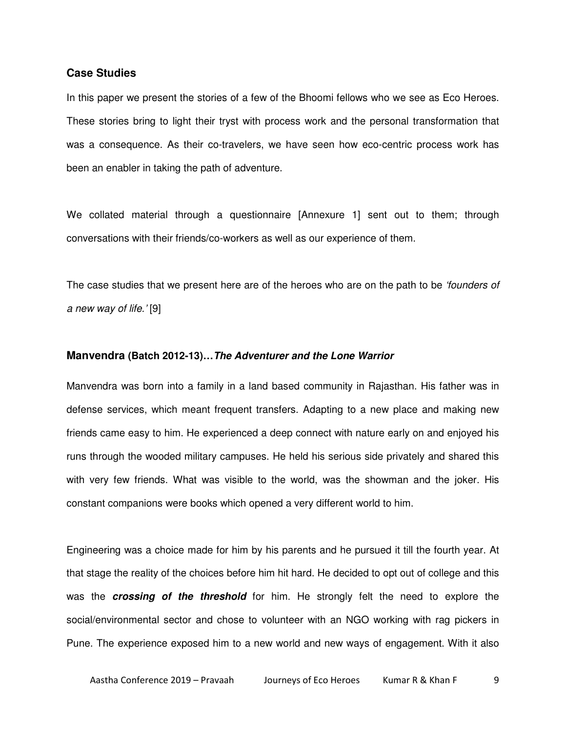### **Case Studies**

In this paper we present the stories of a few of the Bhoomi fellows who we see as Eco Heroes. These stories bring to light their tryst with process work and the personal transformation that was a consequence. As their co-travelers, we have seen how eco-centric process work has been an enabler in taking the path of adventure.

We collated material through a questionnaire [Annexure 1] sent out to them; through conversations with their friends/co-workers as well as our experience of them.

The case studies that we present here are of the heroes who are on the path to be 'founders of a new way of life.' [9]

#### **Manvendra (Batch 2012-13)…The Adventurer and the Lone Warrior**

Manvendra was born into a family in a land based community in Rajasthan. His father was in defense services, which meant frequent transfers. Adapting to a new place and making new friends came easy to him. He experienced a deep connect with nature early on and enjoyed his runs through the wooded military campuses. He held his serious side privately and shared this with very few friends. What was visible to the world, was the showman and the joker. His constant companions were books which opened a very different world to him.

Engineering was a choice made for him by his parents and he pursued it till the fourth year. At that stage the reality of the choices before him hit hard. He decided to opt out of college and this was the **crossing of the threshold** for him. He strongly felt the need to explore the social/environmental sector and chose to volunteer with an NGO working with rag pickers in Pune. The experience exposed him to a new world and new ways of engagement. With it also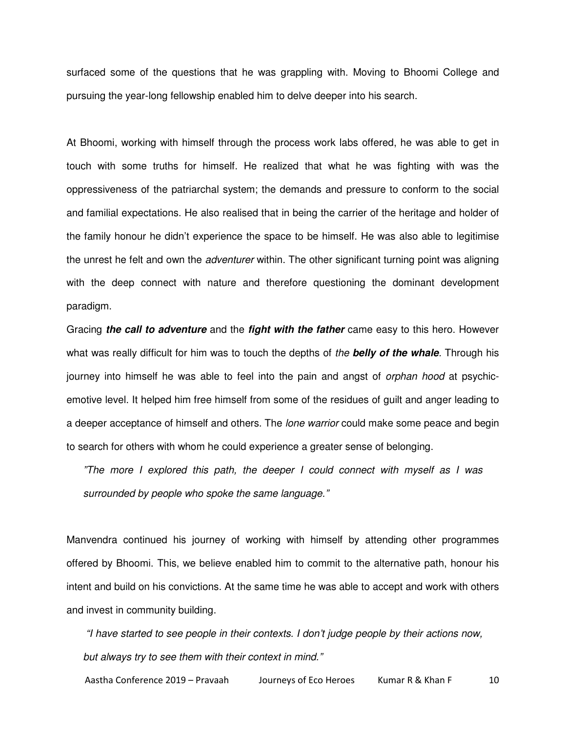surfaced some of the questions that he was grappling with. Moving to Bhoomi College and pursuing the year-long fellowship enabled him to delve deeper into his search.

At Bhoomi, working with himself through the process work labs offered, he was able to get in touch with some truths for himself. He realized that what he was fighting with was the oppressiveness of the patriarchal system; the demands and pressure to conform to the social and familial expectations. He also realised that in being the carrier of the heritage and holder of the family honour he didn't experience the space to be himself. He was also able to legitimise the unrest he felt and own the *adventurer* within. The other significant turning point was aligning with the deep connect with nature and therefore questioning the dominant development paradigm.

Gracing **the call to adventure** and the **fight with the father** came easy to this hero. However what was really difficult for him was to touch the depths of the **belly of the whale**. Through his journey into himself he was able to feel into the pain and angst of *orphan hood* at psychicemotive level. It helped him free himself from some of the residues of guilt and anger leading to a deeper acceptance of himself and others. The *lone warrior* could make some peace and begin to search for others with whom he could experience a greater sense of belonging.

"The more I explored this path, the deeper I could connect with myself as I was surrounded by people who spoke the same language."

Manvendra continued his journey of working with himself by attending other programmes offered by Bhoomi. This, we believe enabled him to commit to the alternative path, honour his intent and build on his convictions. At the same time he was able to accept and work with others and invest in community building.

 "I have started to see people in their contexts. I don't judge people by their actions now, but always try to see them with their context in mind."

Aastha Conference 2019 – Pravaah Journeys of Eco Heroes Kumar R & Khan F 10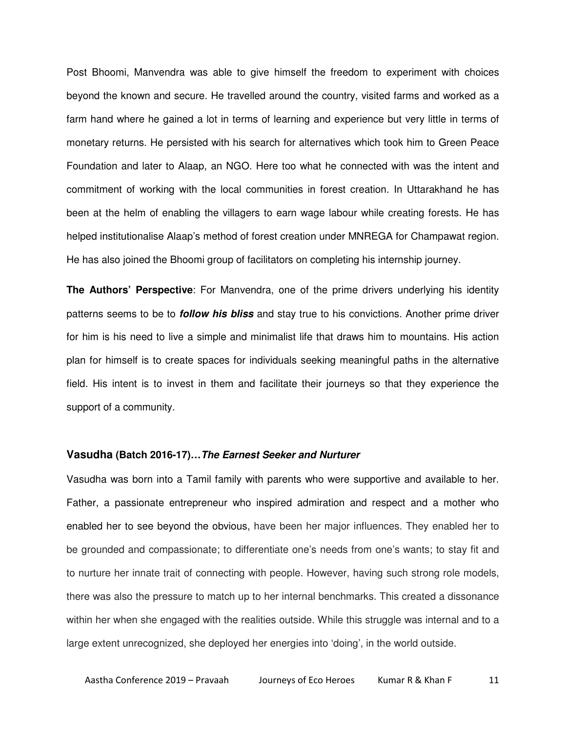Post Bhoomi, Manvendra was able to give himself the freedom to experiment with choices beyond the known and secure. He travelled around the country, visited farms and worked as a farm hand where he gained a lot in terms of learning and experience but very little in terms of monetary returns. He persisted with his search for alternatives which took him to Green Peace Foundation and later to Alaap, an NGO. Here too what he connected with was the intent and commitment of working with the local communities in forest creation. In Uttarakhand he has been at the helm of enabling the villagers to earn wage labour while creating forests. He has helped institutionalise Alaap's method of forest creation under MNREGA for Champawat region. He has also joined the Bhoomi group of facilitators on completing his internship journey.

**The Authors' Perspective**: For Manvendra, one of the prime drivers underlying his identity patterns seems to be to **follow his bliss** and stay true to his convictions. Another prime driver for him is his need to live a simple and minimalist life that draws him to mountains. His action plan for himself is to create spaces for individuals seeking meaningful paths in the alternative field. His intent is to invest in them and facilitate their journeys so that they experience the support of a community.

#### **Vasudha (Batch 2016-17)…The Earnest Seeker and Nurturer**

Vasudha was born into a Tamil family with parents who were supportive and available to her. Father, a passionate entrepreneur who inspired admiration and respect and a mother who enabled her to see beyond the obvious, have been her major influences. They enabled her to be grounded and compassionate; to differentiate one's needs from one's wants; to stay fit and to nurture her innate trait of connecting with people. However, having such strong role models, there was also the pressure to match up to her internal benchmarks. This created a dissonance within her when she engaged with the realities outside. While this struggle was internal and to a large extent unrecognized, she deployed her energies into 'doing', in the world outside.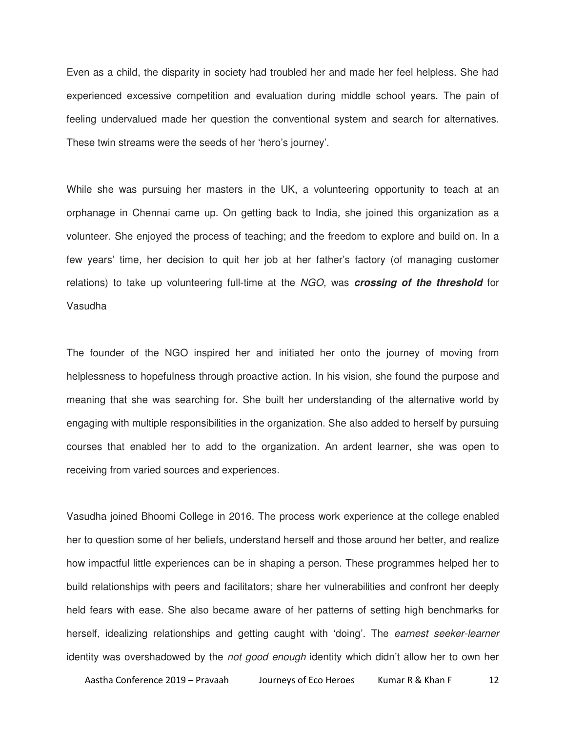Even as a child, the disparity in society had troubled her and made her feel helpless. She had experienced excessive competition and evaluation during middle school years. The pain of feeling undervalued made her question the conventional system and search for alternatives. These twin streams were the seeds of her 'hero's journey'.

While she was pursuing her masters in the UK, a volunteering opportunity to teach at an orphanage in Chennai came up. On getting back to India, she joined this organization as a volunteer. She enjoyed the process of teaching; and the freedom to explore and build on. In a few years' time, her decision to quit her job at her father's factory (of managing customer relations) to take up volunteering full-time at the NGO, was **crossing of the threshold** for Vasudha

The founder of the NGO inspired her and initiated her onto the journey of moving from helplessness to hopefulness through proactive action. In his vision, she found the purpose and meaning that she was searching for. She built her understanding of the alternative world by engaging with multiple responsibilities in the organization. She also added to herself by pursuing courses that enabled her to add to the organization. An ardent learner, she was open to receiving from varied sources and experiences.

Vasudha joined Bhoomi College in 2016. The process work experience at the college enabled her to question some of her beliefs, understand herself and those around her better, and realize how impactful little experiences can be in shaping a person. These programmes helped her to build relationships with peers and facilitators; share her vulnerabilities and confront her deeply held fears with ease. She also became aware of her patterns of setting high benchmarks for herself, idealizing relationships and getting caught with 'doing'. The earnest seeker-learner identity was overshadowed by the not good enough identity which didn't allow her to own her

Aastha Conference 2019 – Pravaah Journeys of Eco Heroes Kumar R & Khan F 12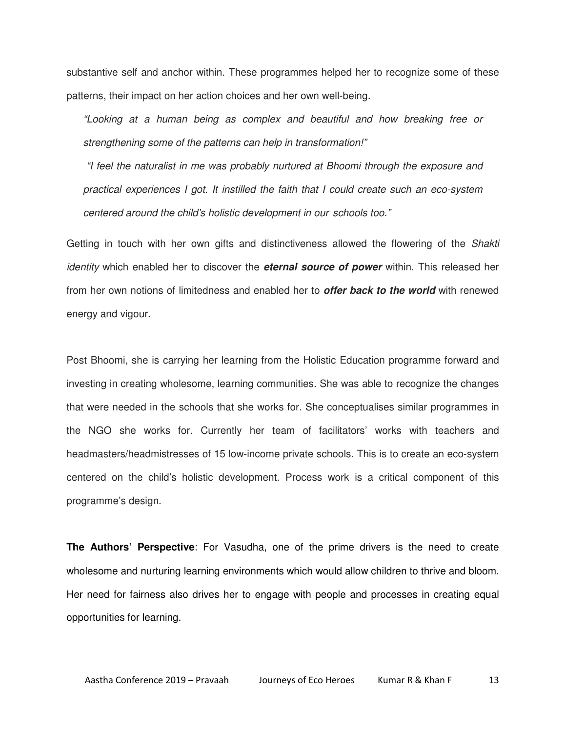substantive self and anchor within. These programmes helped her to recognize some of these patterns, their impact on her action choices and her own well-being.

"Looking at a human being as complex and beautiful and how breaking free or strengthening some of the patterns can help in transformation!"

 "I feel the naturalist in me was probably nurtured at Bhoomi through the exposure and practical experiences I got. It instilled the faith that I could create such an eco-system centered around the child's holistic development in our schools too."

Getting in touch with her own gifts and distinctiveness allowed the flowering of the Shakti identity which enabled her to discover the **eternal source of power** within. This released her from her own notions of limitedness and enabled her to **offer back to the world** with renewed energy and vigour.

Post Bhoomi, she is carrying her learning from the Holistic Education programme forward and investing in creating wholesome, learning communities. She was able to recognize the changes that were needed in the schools that she works for. She conceptualises similar programmes in the NGO she works for. Currently her team of facilitators' works with teachers and headmasters/headmistresses of 15 low-income private schools. This is to create an eco-system centered on the child's holistic development. Process work is a critical component of this programme's design.

**The Authors' Perspective**: For Vasudha, one of the prime drivers is the need to create wholesome and nurturing learning environments which would allow children to thrive and bloom. Her need for fairness also drives her to engage with people and processes in creating equal opportunities for learning.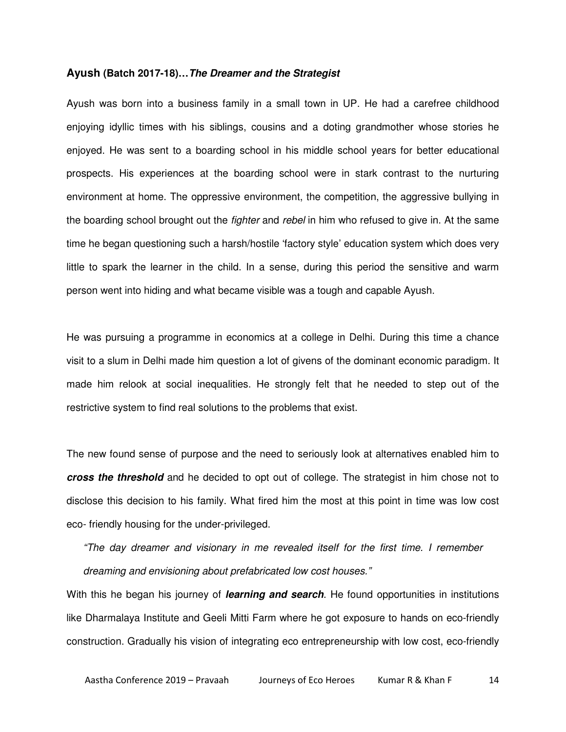#### **Ayush (Batch 2017-18)…The Dreamer and the Strategist**

Ayush was born into a business family in a small town in UP. He had a carefree childhood enjoying idyllic times with his siblings, cousins and a doting grandmother whose stories he enjoyed. He was sent to a boarding school in his middle school years for better educational prospects. His experiences at the boarding school were in stark contrast to the nurturing environment at home. The oppressive environment, the competition, the aggressive bullying in the boarding school brought out the *fighter* and *rebel* in him who refused to give in. At the same time he began questioning such a harsh/hostile 'factory style' education system which does very little to spark the learner in the child. In a sense, during this period the sensitive and warm person went into hiding and what became visible was a tough and capable Ayush.

He was pursuing a programme in economics at a college in Delhi. During this time a chance visit to a slum in Delhi made him question a lot of givens of the dominant economic paradigm. It made him relook at social inequalities. He strongly felt that he needed to step out of the restrictive system to find real solutions to the problems that exist.

The new found sense of purpose and the need to seriously look at alternatives enabled him to **cross the threshold** and he decided to opt out of college. The strategist in him chose not to disclose this decision to his family. What fired him the most at this point in time was low cost eco- friendly housing for the under-privileged.

"The day dreamer and visionary in me revealed itself for the first time. I remember dreaming and envisioning about prefabricated low cost houses."

With this he began his journey of **learning and search**. He found opportunities in institutions like Dharmalaya Institute and Geeli Mitti Farm where he got exposure to hands on eco-friendly construction. Gradually his vision of integrating eco entrepreneurship with low cost, eco-friendly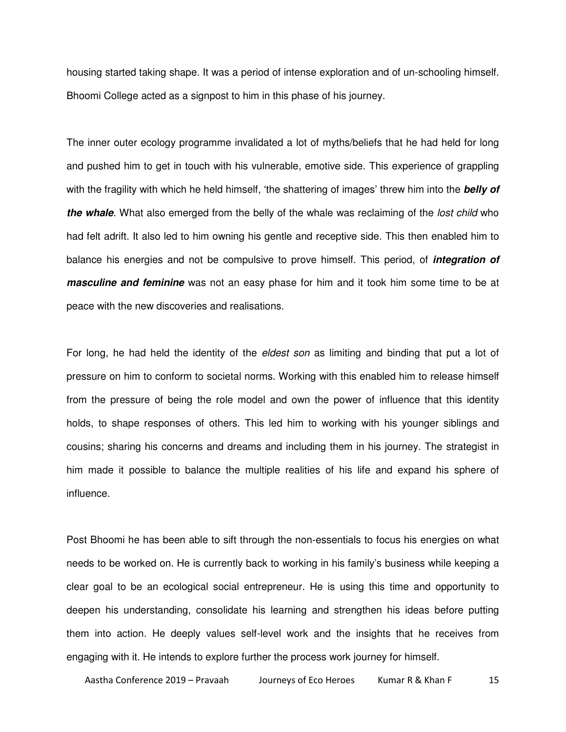housing started taking shape. It was a period of intense exploration and of un-schooling himself. Bhoomi College acted as a signpost to him in this phase of his journey.

The inner outer ecology programme invalidated a lot of myths/beliefs that he had held for long and pushed him to get in touch with his vulnerable, emotive side. This experience of grappling with the fragility with which he held himself, 'the shattering of images' threw him into the **belly of the whale**. What also emerged from the belly of the whale was reclaiming of the lost child who had felt adrift. It also led to him owning his gentle and receptive side. This then enabled him to balance his energies and not be compulsive to prove himself. This period, of **integration of masculine and feminine** was not an easy phase for him and it took him some time to be at peace with the new discoveries and realisations.

For long, he had held the identity of the *eldest son* as limiting and binding that put a lot of pressure on him to conform to societal norms. Working with this enabled him to release himself from the pressure of being the role model and own the power of influence that this identity holds, to shape responses of others. This led him to working with his younger siblings and cousins; sharing his concerns and dreams and including them in his journey. The strategist in him made it possible to balance the multiple realities of his life and expand his sphere of influence.

Post Bhoomi he has been able to sift through the non-essentials to focus his energies on what needs to be worked on. He is currently back to working in his family's business while keeping a clear goal to be an ecological social entrepreneur. He is using this time and opportunity to deepen his understanding, consolidate his learning and strengthen his ideas before putting them into action. He deeply values self-level work and the insights that he receives from engaging with it. He intends to explore further the process work journey for himself.

Aastha Conference 2019 – Pravaah Journeys of Eco Heroes Kumar R & Khan F 15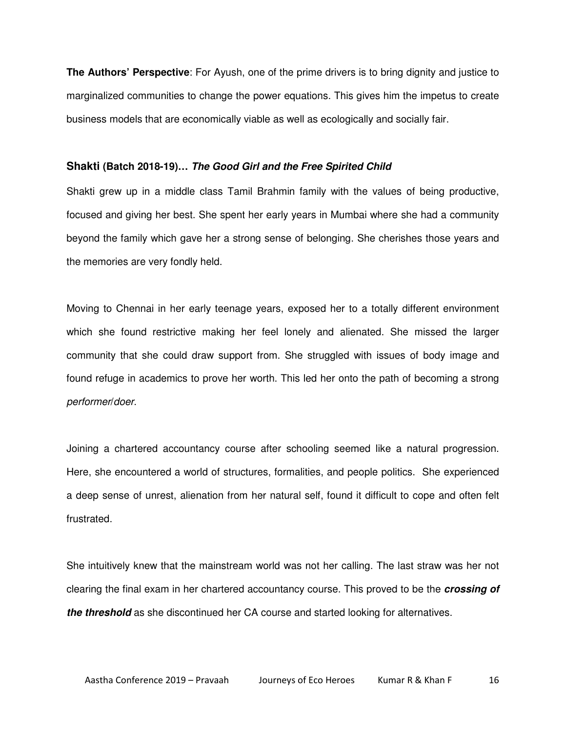**The Authors' Perspective**: For Ayush, one of the prime drivers is to bring dignity and justice to marginalized communities to change the power equations. This gives him the impetus to create business models that are economically viable as well as ecologically and socially fair.

#### **Shakti (Batch 2018-19)… The Good Girl and the Free Spirited Child**

Shakti grew up in a middle class Tamil Brahmin family with the values of being productive, focused and giving her best. She spent her early years in Mumbai where she had a community beyond the family which gave her a strong sense of belonging. She cherishes those years and the memories are very fondly held.

Moving to Chennai in her early teenage years, exposed her to a totally different environment which she found restrictive making her feel lonely and alienated. She missed the larger community that she could draw support from. She struggled with issues of body image and found refuge in academics to prove her worth. This led her onto the path of becoming a strong performer/doer.

Joining a chartered accountancy course after schooling seemed like a natural progression. Here, she encountered a world of structures, formalities, and people politics. She experienced a deep sense of unrest, alienation from her natural self, found it difficult to cope and often felt frustrated.

She intuitively knew that the mainstream world was not her calling. The last straw was her not clearing the final exam in her chartered accountancy course. This proved to be the **crossing of the threshold** as she discontinued her CA course and started looking for alternatives.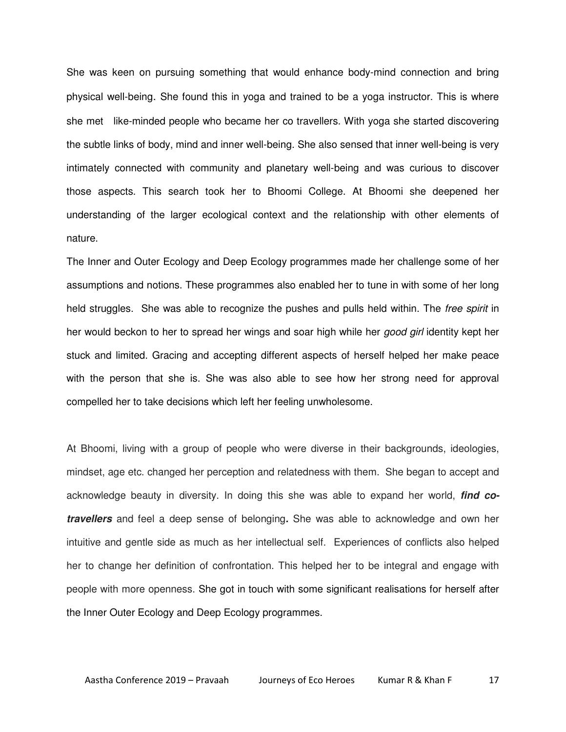She was keen on pursuing something that would enhance body-mind connection and bring physical well-being. She found this in yoga and trained to be a yoga instructor. This is where she met like-minded people who became her co travellers. With yoga she started discovering the subtle links of body, mind and inner well-being. She also sensed that inner well-being is very intimately connected with community and planetary well-being and was curious to discover those aspects. This search took her to Bhoomi College. At Bhoomi she deepened her understanding of the larger ecological context and the relationship with other elements of nature.

The Inner and Outer Ecology and Deep Ecology programmes made her challenge some of her assumptions and notions. These programmes also enabled her to tune in with some of her long held struggles. She was able to recognize the pushes and pulls held within. The free spirit in her would beckon to her to spread her wings and soar high while her good girl identity kept her stuck and limited. Gracing and accepting different aspects of herself helped her make peace with the person that she is. She was also able to see how her strong need for approval compelled her to take decisions which left her feeling unwholesome.

At Bhoomi, living with a group of people who were diverse in their backgrounds, ideologies, mindset, age etc. changed her perception and relatedness with them. She began to accept and acknowledge beauty in diversity. In doing this she was able to expand her world, **find cotravellers** and feel a deep sense of belonging**.** She was able to acknowledge and own her intuitive and gentle side as much as her intellectual self. Experiences of conflicts also helped her to change her definition of confrontation. This helped her to be integral and engage with people with more openness. She got in touch with some significant realisations for herself after the Inner Outer Ecology and Deep Ecology programmes.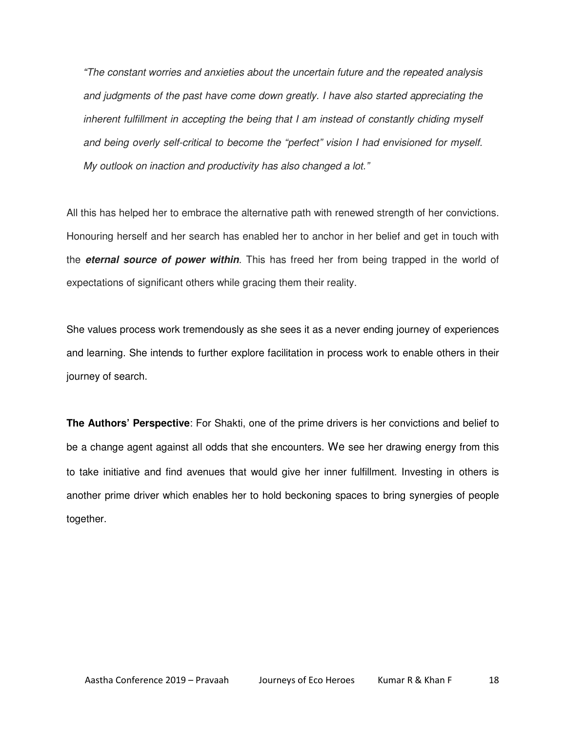"The constant worries and anxieties about the uncertain future and the repeated analysis and judgments of the past have come down greatly. I have also started appreciating the inherent fulfillment in accepting the being that I am instead of constantly chiding myself and being overly self-critical to become the "perfect" vision I had envisioned for myself. My outlook on inaction and productivity has also changed a lot."

All this has helped her to embrace the alternative path with renewed strength of her convictions. Honouring herself and her search has enabled her to anchor in her belief and get in touch with the **eternal source of power within**. This has freed her from being trapped in the world of expectations of significant others while gracing them their reality.

She values process work tremendously as she sees it as a never ending journey of experiences and learning. She intends to further explore facilitation in process work to enable others in their journey of search.

**The Authors' Perspective**: For Shakti, one of the prime drivers is her convictions and belief to be a change agent against all odds that she encounters. We see her drawing energy from this to take initiative and find avenues that would give her inner fulfillment. Investing in others is another prime driver which enables her to hold beckoning spaces to bring synergies of people together.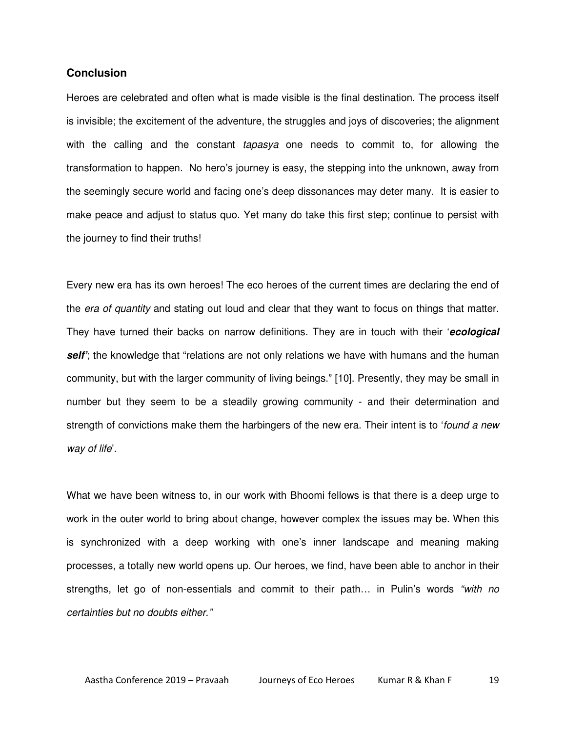## **Conclusion**

Heroes are celebrated and often what is made visible is the final destination. The process itself is invisible; the excitement of the adventure, the struggles and joys of discoveries; the alignment with the calling and the constant *tapasya* one needs to commit to, for allowing the transformation to happen. No hero's journey is easy, the stepping into the unknown, away from the seemingly secure world and facing one's deep dissonances may deter many. It is easier to make peace and adjust to status quo. Yet many do take this first step; continue to persist with the journey to find their truths!

Every new era has its own heroes! The eco heroes of the current times are declaring the end of the era of quantity and stating out loud and clear that they want to focus on things that matter. They have turned their backs on narrow definitions. They are in touch with their '**ecological self**'; the knowledge that "relations are not only relations we have with humans and the human community, but with the larger community of living beings." [10]. Presently, they may be small in number but they seem to be a steadily growing community - and their determination and strength of convictions make them the harbingers of the new era. Their intent is to 'found a new way of life'.

What we have been witness to, in our work with Bhoomi fellows is that there is a deep urge to work in the outer world to bring about change, however complex the issues may be. When this is synchronized with a deep working with one's inner landscape and meaning making processes, a totally new world opens up. Our heroes, we find, have been able to anchor in their strengths, let go of non-essentials and commit to their path... in Pulin's words "with no certainties but no doubts either."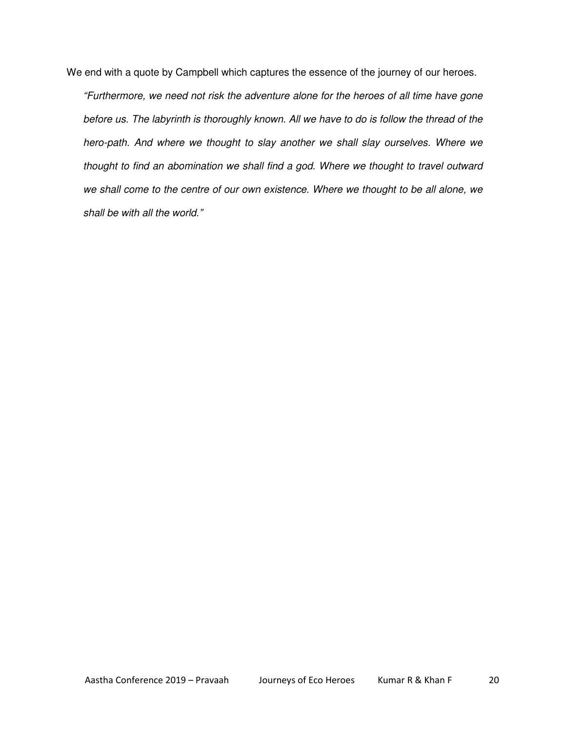We end with a quote by Campbell which captures the essence of the journey of our heroes.

"Furthermore, we need not risk the adventure alone for the heroes of all time have gone before us. The labyrinth is thoroughly known. All we have to do is follow the thread of the hero-path. And where we thought to slay another we shall slay ourselves. Where we thought to find an abomination we shall find a god. Where we thought to travel outward we shall come to the centre of our own existence. Where we thought to be all alone, we shall be with all the world."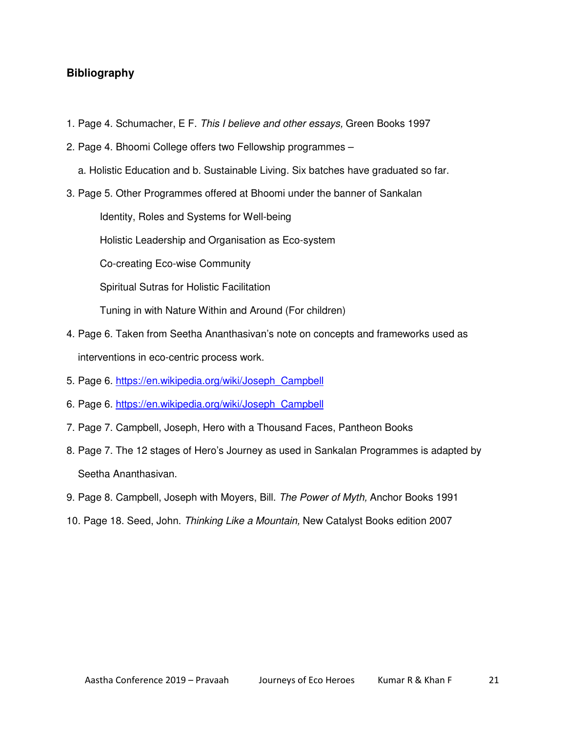## **Bibliography**

- 1. Page 4. Schumacher, E F. This I believe and other essays, Green Books 1997
- 2. Page 4. Bhoomi College offers two Fellowship programmes
	- a. Holistic Education and b. Sustainable Living. Six batches have graduated so far.
- 3. Page 5. Other Programmes offered at Bhoomi under the banner of Sankalan

Identity, Roles and Systems for Well-being

Holistic Leadership and Organisation as Eco-system

Co-creating Eco-wise Community

Spiritual Sutras for Holistic Facilitation

Tuning in with Nature Within and Around (For children)

- 4. Page 6. Taken from Seetha Ananthasivan's note on concepts and frameworks used as interventions in eco-centric process work.
- 5. Page 6. https://en.wikipedia.org/wiki/Joseph\_Campbell
- 6. Page 6. https://en.wikipedia.org/wiki/Joseph\_Campbell
- 7. Page 7. Campbell, Joseph, Hero with a Thousand Faces, Pantheon Books
- 8. Page 7. The 12 stages of Hero's Journey as used in Sankalan Programmes is adapted by Seetha Ananthasivan.
- 9. Page 8. Campbell, Joseph with Moyers, Bill. The Power of Myth, Anchor Books 1991
- 10. Page 18. Seed, John. Thinking Like a Mountain, New Catalyst Books edition 2007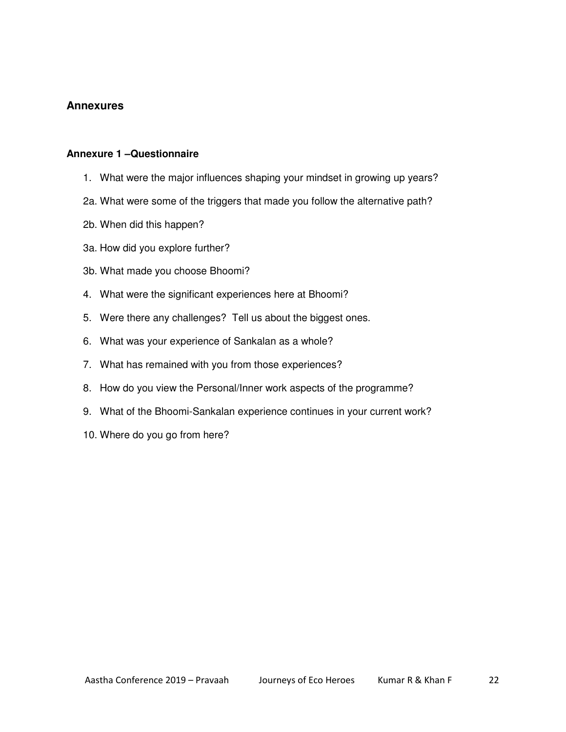## **Annexures**

### **Annexure 1 –Questionnaire**

- 1. What were the major influences shaping your mindset in growing up years?
- 2a. What were some of the triggers that made you follow the alternative path?
- 2b. When did this happen?
- 3a. How did you explore further?
- 3b. What made you choose Bhoomi?
- 4. What were the significant experiences here at Bhoomi?
- 5. Were there any challenges? Tell us about the biggest ones.
- 6. What was your experience of Sankalan as a whole?
- 7. What has remained with you from those experiences?
- 8. How do you view the Personal/Inner work aspects of the programme?
- 9. What of the Bhoomi-Sankalan experience continues in your current work?
- 10. Where do you go from here?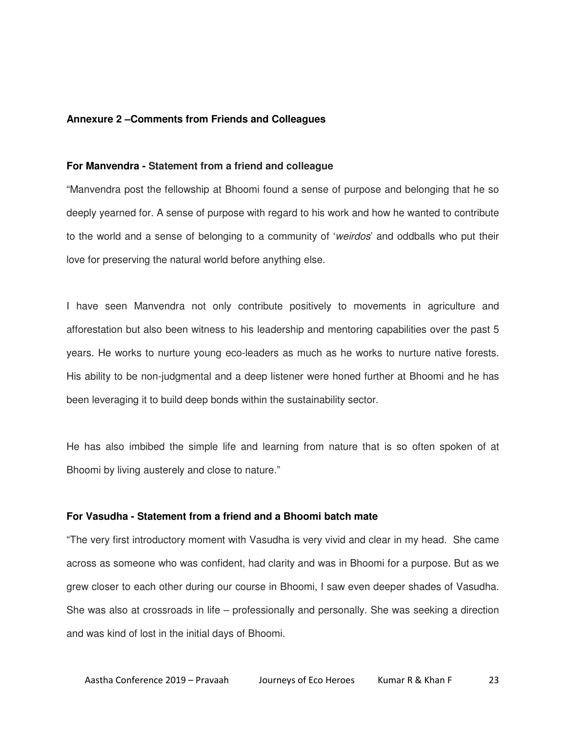#### **Annexure 2 –Comments from Friends and Colleagues**

#### **For Manvendra - Statement from a friend and colleague**

"Manvendra post the fellowship at Bhoomi found a sense of purpose and belonging that he so deeply yearned for. A sense of purpose with regard to his work and how he wanted to contribute to the world and a sense of belonging to a community of 'weirdos' and oddballs who put their love for preserving the natural world before anything else.

I have seen Manvendra not only contribute positively to movements in agriculture and afforestation but also been witness to his leadership and mentoring capabilities over the past 5 years. He works to nurture young eco-leaders as much as he works to nurture native forests. His ability to be non-judgmental and a deep listener were honed further at Bhoomi and he has been leveraging it to build deep bonds within the sustainability sector.

He has also imbibed the simple life and learning from nature that is so often spoken of at Bhoomi by living austerely and close to nature."

#### **For Vasudha - Statement from a friend and a Bhoomi batch mate**

"The very first introductory moment with Vasudha is very vivid and clear in my head. She came across as someone who was confident, had clarity and was in Bhoomi for a purpose. But as we grew closer to each other during our course in Bhoomi, I saw even deeper shades of Vasudha. She was also at crossroads in life – professionally and personally. She was seeking a direction and was kind of lost in the initial days of Bhoomi.